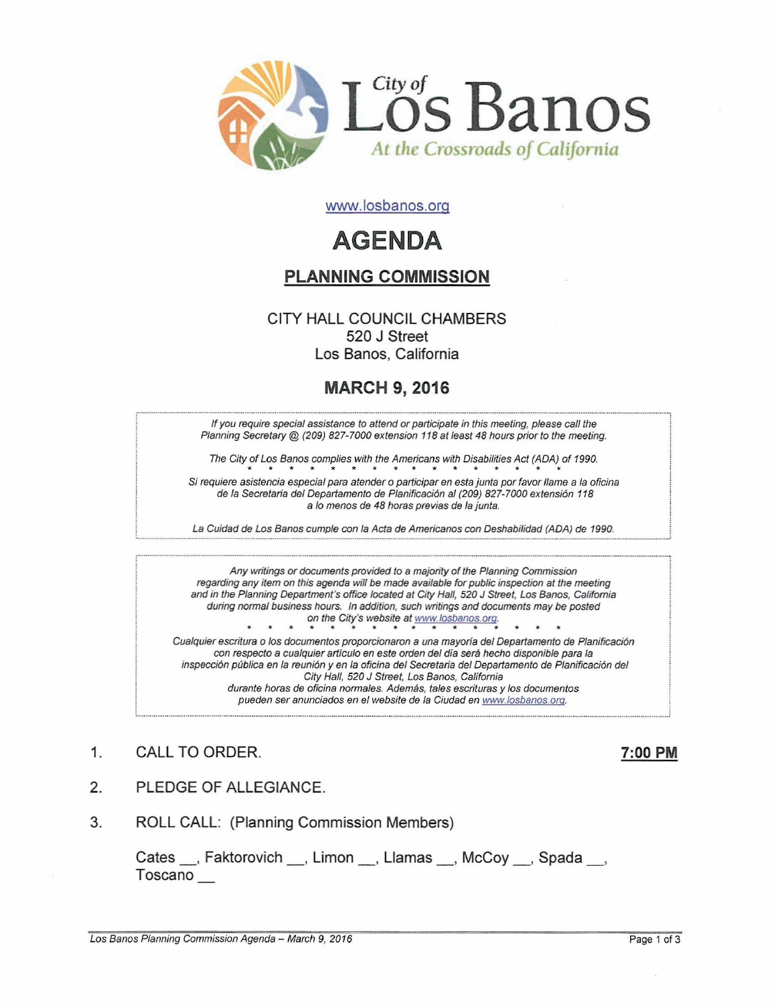

www.losbanos.org

# **AGENDA**

## PLANNING COMMISSION

#### CITY HALL COUNCIL CHAMBERS 520 J Street Los Banos, California

# MARCH 9, 2016

If you require special assistance to attend or participate in this meeting, please call the Planning Secretary @ (209) 827-7000 extension 118 at least 48 hours prior to the meeting.

The City of Los Banos complies with the Americans with Disabilities Act (ADA) of 1990. The City of Los Banos complies with the Americans with Disabilities Act (ADA) of 1990.<br>Si requiere asistencia especial para atender o participar en esta junta por favor llame a la oficina

de la Secretaria del Departamento de Planificación al (209) 827-7000 extensión 118 a lo menos de 48 horas previas de la junta.

La Cuidad de Los Banos cumple con la Acta de Americanos con Deshabilidad (ADA) de 1990.

Any writings or documents provided to a majority of the Planning Commission regarding any item on this agenda will be made available for pubfic inspection at the meeting and in the Planning Department's office located at City Hall, 520 J Street, Los Banos, California during normal business hours. In addition, such writings and documents may be posted on the City's website at www.losbanos.org.

Cualquier escritura <sup>0</sup> los documentos proporcionaron a una mayoria del Departamento de Planificaci6n con respecto a cualquier articulo en este orden del dia sera hecho disponible para fa inspección pública en la reunión y en la oficina del Secretaria del Departamento de Planificación del City Hall, 520 J Street, Los Banos, California durante horas de oficina normales. Además, tales escrituras y los documentos pueden ser anunciados en el website de la Ciudad en www.losbanos.org.

1. CALL TO ORDER. 200 PM

- 2. PLEDGE OF ALLEGIANCE.
- 3. ROLL CALL: (Planning Commission Members)

Cates \_\_, Faktorovich \_\_, Limon \_\_, Llamas \_\_, McCoy \_\_, Spada \_\_, Toscano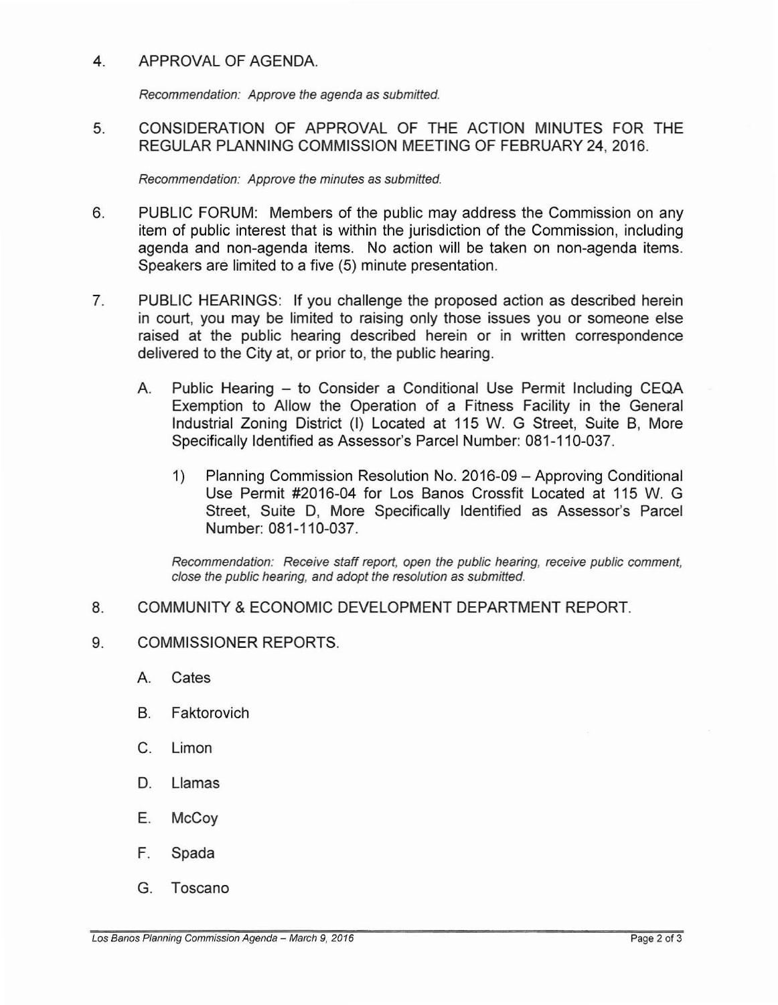#### 4. APPROVAL OF AGENDA.

Recommendation: Approve the agenda as submitted.

### 5. CONSIDERATION OF APPROVAL OF THE ACTION MINUTES FOR THE REGULAR PLANNING COMMISSION MEETING OF FEBRUARY 24,2016.

Recommendation: Approve the minutes as submitted.

- 6. PUBLIC FORUM: Members of the public may address the Commission on any item of public interest that is within the jurisdiction of the Commission, including agenda and non-agenda items. No action will be taken on non-agenda items. Speakers are limited to a five (5) minute presentation.
- 7. PUBLIC HEARINGS: If you challenge the proposed action as described herein in court, you may be limited to raising only those issues you or someone else raised at the public hearing described herein or in written correspondence delivered to the City at, or prior to, the public hearing.
	- A. Public Hearing to Consider a Conditional Use Permit Including CEQA Exemption to Allow the Operation of a Fitness Facility in the General Industrial Zoning District (I) Located at 115 W. G Street, Suite B, More Specifically Identified as Assessor's Parcel Number: 081-110-037.
		- 1) Planning Commission Resolution No. 2016-09 Approving Conditional Use Permit #2016-04 for Los Banos Crossfit Located at 115 W. G Street, Suite D, More Specifically Identified as Assessor's Parcel Number: 081-110-037.

Recommendation: Receive staff report, open the public hearing, receive public comment, close the public hearing, and adopt the resolution as submitted.

#### 8. COMMUNITY &ECONOMIC DEVELOPMENT DEPARTMENT REPORT.

- 9. COMMISSIONER REPORTS.
	- A. Cates
	- B. Faktorovich
	- C. Limon
	- D. Llamas
	- E. McCoy
	- F. Spada
	- G. Toscano